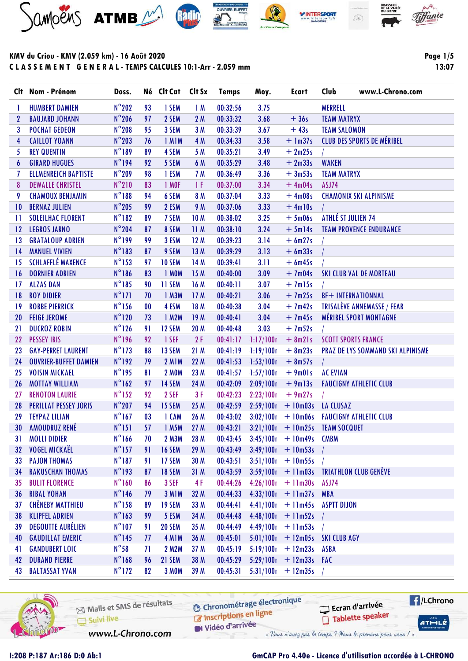







**Page 1/5** 

13:07

|                 | Clt Nom - Prénom             | Doss.           |           | Né Clt Cat Clt Sx |                 | <b>Temps</b> | Moy.      | <b>Ecart</b>                         | www.L-Chrono.com<br>Club                 |
|-----------------|------------------------------|-----------------|-----------|-------------------|-----------------|--------------|-----------|--------------------------------------|------------------------------------------|
| T.              | <b>HUMBERT DAMIEN</b>        | $N^{\circ}202$  | 93        | 1 SEM             | 1M              | 00:32:56     | 3.75      |                                      | <b>MERRELL</b>                           |
| $\mathbf{2}$    | <b>BAUJARD JOHANN</b>        | $N^{\circ}$ 206 | 97        | 2 SEM             | 2 M             | 00:33:32     | 3.68      | $+36s$                               | <b>TEAM MATRYX</b>                       |
| 3               | <b>POCHAT GEDEON</b>         | $N^{\circ}$ 208 | 95        | 3 SEM             | 3M              | 00:33:39     | 3.67      | $+43s$                               | <b>TEAM SALOMON</b>                      |
| 4               | <b>CAILLOT YOANN</b>         | $N^{\circ}203$  | 76        | 1 MIM             | 4 M             | 00:34:33     | 3.58      | $+ \ln 37s$                          | <b>CLUB DES SPORTS DE MÉRIBEL</b>        |
| 5               | <b>REY QUENTIN</b>           | $N^{\circ}189$  | 89        | 4 SEM             | 5 M             | 00:35:21     | 3.49      | $+2m25s$                             |                                          |
| 6               | <b>GIRARD HUGUES</b>         | N°194           | 92        | 5 SEM             | 6 M             | 00:35:29     | 3.48      | $+2m33s$                             | <b>WAKEN</b>                             |
| 7               | <b>ELLMENREICH BAPTISTE</b>  | $N^{\circ}$ 209 | 98        | 1 ESM             | 7 M             | 00:36:49     | 3.36      | $+3m53s$                             | <b>TEAM MATRYX</b>                       |
| 8               | <b>DEWALLE CHRISTEL</b>      | $N^{\circ}210$  | 83        | 1 MOF             | 1 F             | 00:37:00     | 3.34      | $+4m04s$                             | ASJ74                                    |
| 9               | <b>CHAMOUX BENJAMIN</b>      | $N^{\circ}188$  | 94        | 6 SEM             | 8 M             | 00:37:04     | 3.33      | $+4m08s$                             | <b>CHAMONIX SKI ALPINISME</b>            |
| 10              | <b>BERNAZ JULIEN</b>         | $N^{\circ}$ 205 | 99        | 2 ESM             | 9 M             | 00:37:06     | 3.33      | $+4ml0s$                             |                                          |
| 11              | <b>SOLEILHAC FLORENT</b>     | $N^{\circ}182$  | 89        | 7 SEM             | 10 <sub>M</sub> | 00:38:02     | 3.25      | $+5m06s$                             | ATHLÉ ST JULIEN 74                       |
| 12              | <b>LEGROS JARNO</b>          | $N^{\circ}$ 204 | 87        | 8 SEM             | 11M             | 00:38:10     | 3.24      | $+5m14s$                             | <b>TEAM PROVENCE ENDURANCE</b>           |
| 13              | <b>GRATALOUP ADRIEN</b>      | $N^{\circ}199$  | 99        | 3 ESM             | 12M             | 00:39:23     | 3.14      | $+ 6m27s$                            |                                          |
| 14              | <b>MANUEL VIVIEN</b>         | $N^{\circ}183$  | 87        | 9 SEM             | 13M             | 00:39:29     | 3.13      | $+6m33s$                             |                                          |
| 15              | <b>SCHLAFFLÉ MAXENCE</b>     | $N^{\circ}$ 153 | 97        | <b>10 SEM</b>     | 14 M            | 00:39:41     | 3.11      | $+6m45s$                             |                                          |
| 16              | <b>DORNIER ADRIEN</b>        | $N^{\circ}186$  | 83        | 1 MOM             | 15M             | 00:40:00     | 3.09      | $+7m04s$                             | <b>SKI CLUB VAL DE MORTEAU</b>           |
| $\overline{17}$ | <b>ALZAS DAN</b>             | $N^{\circ}185$  | 90        | 11 SEM            | 16 M            | 00:40:11     | 3.07      | $+7m15s$                             |                                          |
| 18              | <b>ROY DIDIER</b>            | $N^{\circ}171$  | 70        | 1 M3M             | 17M             | 00:40:21     | 3.06      | $+7m25s$                             | <b>BF+ INTERNATIONNAL</b>                |
| $\overline{19}$ | <b>ROBBE PIERRICK</b>        | $N^{\circ}156$  | $\bf{00}$ | 4 ESM             | 18 M            | 00:40:38     | 3.04      | $+7m42s$                             | <b>TRISALÈVE ANNEMASSE / FEAR</b>        |
| 20              | <b>FEIGE JEROME</b>          | $N^{\circ}120$  | 73        | 1 M2M             | 19 <sub>M</sub> | 00:40:41     | 3.04      | $+7m45s$                             | <b>MÉRIBEL SPORT MONTAGNE</b>            |
| 21              | <b>DUCROZ ROBIN</b>          | $N^{\circ}126$  | 91        | 12 SEM            | 20 M            | 00:40:48     | 3.03      | $+7m52s$                             |                                          |
| 22              | <b>PESSEY IRIS</b>           | $N^{\circ}$ 196 | 92        | 1 SEF             | 2F              | 00:41:17     | 1:17/100r | $+ 8m21s$                            | <b>SCOTT SPORTS FRANCE</b>               |
| 23              | <b>GAY-PERRET LAURENT</b>    | $N^{\circ}$ 173 | 88        | 13 SEM            | 21M             | 00:41:19     | 1:19/100r | $+ 8m23s$                            | <b>PRAZ DE LYS SOMMAND SKI ALPINISME</b> |
| 24              | <b>OUVRIER-BUFFET DAMIEN</b> | $N^{\circ}192$  | 79        | <b>2 M1M</b>      | 22 M            | 00:41:53     | 1:53/100r | $+ 8m57s$                            |                                          |
| 25              | <b>VOISIN MICKAEL</b>        | $N^{\circ}$ 195 | 81        | <b>2 MOM</b>      | 23 M            | 00:41:57     | 1:57/100r | $+9m01s$                             | <b>AC EVIAN</b>                          |
| 26              | <b>MOTTAY WILLIAM</b>        | $N^{\circ}162$  | 97        | 14 SEM            | 24 M            | 00:42:09     | 2:09/100r | $+9m13s$                             | <b>FAUCIGNY ATHLETIC CLUB</b>            |
| 27              | <b>RENOTON LAURIE</b>        | $N^{\circ}$ 152 | 92        | 2 SEF             | 3F              | 00:42:23     | 2:23/100r | $+9m27s$                             |                                          |
| 28              | <b>PERILLAT PESSEY JORIS</b> | $N^{\circ}207$  | 94        | 15 SEM            | 25 M            | 00:42:59     | 2:59/100r | $+10m03s$                            | <b>LA CLUSAZ</b>                         |
| 29              | <b>TEYPAZ LILIAN</b>         | $N^{\circ}$ 167 | 03        | 1 CAM             | 26 M            | 00:43:02     | 3:02/100r |                                      | + 10m06s FAUCIGNY ATHLETIC CLUB          |
| 30              | AMOUDRUZ RENÉ                | $N^{\circ}$ 151 | 57        | 1 M5M             | 27 M            | 00:43:21     |           |                                      | $3:21/100r + 10m25s$ TEAM SOCQUET        |
| 31              | <b>MOLLI DIDIER</b>          | $N^{\circ}166$  | 70        | 2 M3M             | 28 M            |              |           | $00:43:45$ $3:45/100r$ + 10m49s CMBM |                                          |
| 32              | <b>VOGEL MICKAËL</b>         | $N^{\circ}$ 157 | 91        | <b>16 SEM</b>     | 29 M            | 00:43:49     | 3:49/100r | $+10m53s$                            |                                          |
| 33              | <b>PAJON THOMAS</b>          | $N^{\circ}187$  | 91        | 17 SEM            | 30 M            | 00:43:51     |           | $3:51/100r + 10m55s$                 |                                          |
| 34              | <b>RAKUSCHAN THOMAS</b>      | $N^{\circ}$ 193 | 87        | <b>18 SEM</b>     | 31M             | 00:43:59     | 3:59/100r |                                      | + 11m03s TRIATHLON CLUB GENÈVE           |
| 35              | <b>BULIT FLORENCE</b>        | $N^{\circ}160$  | 86        | 3 SEF             | 4 F             | 00:44:26     | 4:26/100r | $+$ 11 $m30s$                        | ASJ74                                    |
| 36              | <b>RIBAL YOHAN</b>           | $N^{\circ}$ 146 | 79        | 3 MIM             | 32 M            | 00:44:33     | 4:33/100r | $+$ 11 $m37s$                        | <b>MBA</b>                               |
| 37              | <b>CHÈNEBY MATTHIEU</b>      | $N^{\circ}$ 158 | 89        | <b>19 SEM</b>     | 33 M            | 00:44:41     | 4:41/100r | $+$ 11 $m45s$                        | ASPTT DIJON                              |
| 38              | <b>KLIPFEL ADRIEN</b>        | $N^{\circ}163$  | 99        | 5 ESM             | 34 M            | 00:44:48     | 4:48/100r | $+$ 11m52s                           |                                          |
| 39              | <b>DEGOUTTE AURÉLIEN</b>     | $N^{\circ}107$  | 91        | <b>20 SEM</b>     | 35 M            | 00:44:49     | 4:49/100r | $+$ 11 $m53s$                        |                                          |
| 40              | <b>GAUDILLAT EMERIC</b>      | $N^{\circ}$ 145 | 77        | 4 MIM             | 36 M            | 00:45:01     | 5:01/100r |                                      | + 12m05s SKI CLUB AGY                    |
| 41              | <b>GANDUBERT LOIC</b>        | $N^{\circ}58$   | 71        | 2 M2M             | 37 M            | 00:45:19     | 5:19/100r | $+ 12m23s$                           | <b>ASBA</b>                              |
| 42              | <b>DURAND PIERRE</b>         | $N^{\circ}$ 168 | 96        | 21 SEM            | 38 M            | 00:45:29     | 5:29/100n | $+ 12m33s$ FAC                       |                                          |
| 43              | <b>BALTASSAT YVAN</b>        | $N^{\circ}172$  | 82        | 3 MOM             | 39 M            | 00:45:31     | 5:31/100r | $+ 12m35s$                           |                                          |



Mails et SMS de résultats Suivi live

**6** Chronométrage électronique Inscriptions en ligne

Vidéo d'arrivée « Vous n'avez pas le temps ? Nous le prenons pour vous / »

www.L-Chrono.com

Ecran d'arrivée

Tablette speaker

**E**/LChrono

 $ATHLLE$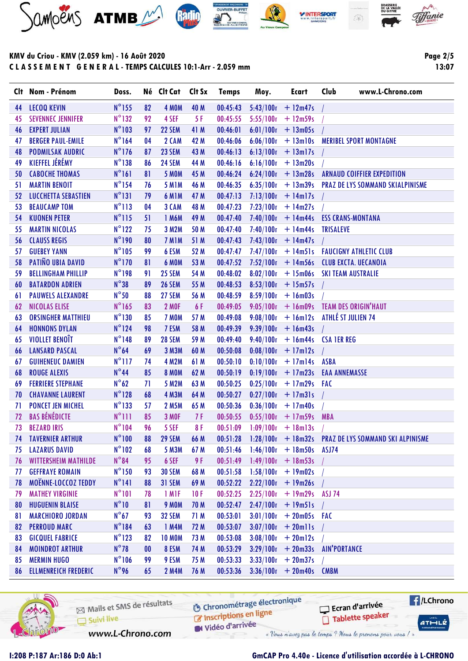





### KMV du Criou - KMV (2.059 km) - 16 Août 2020 C L A S S E M E N T G E N E R A L - TEMPS CALCULES 10:1-Arr - 2.059 mm

Page 2/5 13:07

|     | Clt Nom - Prénom            | Doss.           |    | Né Clt Cat Clt Sx |      | <b>Temps</b> | Moy.                 | <b>Ecart</b>                   | Club<br>www.L-Chrono.com                                                     |
|-----|-----------------------------|-----------------|----|-------------------|------|--------------|----------------------|--------------------------------|------------------------------------------------------------------------------|
| 44  | <b>LECOQ KEVIN</b>          | $N^{\circ}$ 155 | 82 | 4 MOM             | 40 M | 00:45:43     |                      | $5:43/100n + 12m47s$           |                                                                              |
| 45  | <b>SEVENNEC JENNIFER</b>    | $N^{\circ}132$  | 92 | 4 SEF             | 5 F  | 00:45:55     | 5:55/100r            | $+$ 12m59s                     |                                                                              |
| 46  | <b>EXPERT JULIAN</b>        | $N^{\circ}103$  | 97 | <b>22 SEM</b>     | 41 M | 00:46:01     | 6:01/100r            | $+ 13 \text{m05s}$             |                                                                              |
| 47  | <b>BERGER PAUL-EMILE</b>    | $N^{\circ}$ 164 | 04 | 2 CAM             | 42 M | 00:46:06     |                      |                                | 6:06/100r + 13m10s MERIBEL SPORT MONTAGNE                                    |
| 48  | <b>PODMILSAK AUDRIC</b>     | $N^{\circ}176$  | 87 | <b>23 SEM</b>     | 43 M | 00:46:13     |                      | $6:13/100r$ + 13m17s           |                                                                              |
| 49  | KIEFFEL JÉRÉMY              | $N^{\circ}138$  | 86 | <b>24 SEM</b>     | 44 M | 00:46:16     | 6:16/100r            | $+ 13m20s$                     |                                                                              |
| 50  | <b>CABOCHE THOMAS</b>       | $N^{\circ}161$  | 81 | <b>5 MOM</b>      | 45 M | 00:46:24     |                      |                                | 6:24/100r + 13m28s ARNAUD COIFFIER EXPEDITION                                |
| 51  | <b>MARTIN BENOIT</b>        | $N^{\circ}$ 154 | 76 | <b>5 M1M</b>      | 46 M | 00:46:35     |                      |                                | 6:35/100r + 13m39s PRAZ DE LYS SOMMAND SKIALPINISME                          |
| 52  | <b>LUCCHETTA SEBASTIEN</b>  | $N^{\circ}131$  | 79 | <b>6 M1M</b>      | 47 M | 00:47:13     |                      | $7:13/100r + 14m17s$           |                                                                              |
| 53  | <b>BEAUCAMP TOM</b>         | $N^{\circ}113$  | 04 | 3 CAM             | 48 M | 00:47:23     |                      | $7:23/100r + 14m27s$           |                                                                              |
| -54 | <b>KUONEN PETER</b>         | $N^{\circ}115$  | 51 | 1 M6M             | 49 M | 00:47:40     |                      |                                | $7:40/100r$ + 14m44s ESS CRANS-MONTANA                                       |
| 55  | <b>MARTIN NICOLAS</b>       | $N^{\circ}122$  | 75 | 3 M2M             | 50 M | 00:47:40     |                      | $7:40/100r$ + 14m44s TRISALEVE |                                                                              |
| 56  | <b>CLAUSS REGIS</b>         | N°190           | 80 | 7 MIM             | 51 M | 00:47:43     | 7:43/100r            | $+ 14m47s$                     |                                                                              |
| 57  | <b>GUEBEY YANN</b>          | $N^{\circ}105$  | 99 | 6 ESM             | 52 M | 00:47:47     |                      |                                | 7:47/100r + 14m51s FAUCIGNY ATHLETIC CLUB                                    |
| 58  | PATIÑO UBIA DAVID           | $N^{\circ}$ 170 | 81 | 6 MOM             | 53 M | 00:47:52     |                      |                                | $7:52/100r$ + 14m56s CLUB EXCTA. UECANOIA                                    |
| 59  | <b>BELLINGHAM PHILLIP</b>   | N°198           | 91 | <b>25 SEM</b>     | 54 M | 00:48:02     |                      |                                | 8:02/100r + 15m06s SKI TEAM AUSTRALIE                                        |
| 60  | <b>BATARDON ADRIEN</b>      | $N^{\circ}38$   | 89 | <b>26 SEM</b>     | 55 M | 00:48:53     |                      | $8:53/100r + 15m57s$           |                                                                              |
| 61  | <b>PAUWELS ALEXANDRE</b>    | $N^{\circ}50$   | 88 | 27 SEM            | 56 M | 00:48:59     |                      | $8:59/100r + 16m03s$           |                                                                              |
| 62  | <b>NICOLAS ELISE</b>        | $N^{\circ}$ 165 | 83 | <b>2 MOF</b>      | 6 F  | 00:49:05     |                      |                                | 9:05/100r + 16m09s TEAM DES ORIGIN'HAUT                                      |
| 63  | <b>ORSINGHER MATTHIEU</b>   | $N^{\circ}$ 130 | 85 | 7 MOM             | 57 M | 00:49:08     |                      |                                | $9.08/100r$ + 16m12s ATHLÉ ST JULIEN 74                                      |
| 64  | <b>HONNONS DYLAN</b>        | $N^{\circ}124$  | 98 | 7 ESM             | 58 M | 00:49:39     |                      | $9:39/100r + 16m43s$           |                                                                              |
| 65  | VIOLLET BENOÎT              | $N^{\circ}$ 148 | 89 | 28 SEM            | 59 M | 00:49:40     |                      |                                | $9:40/100r$ + 16m44s CSA 1ER REG                                             |
| 66  | <b>LANSARD PASCAL</b>       | $N^{\circ}64$   | 69 | <b>3 M3M</b>      | 60 M | 00:50:08     | 0.08/100r            | $+17$ m $12s$                  |                                                                              |
| 67  | <b>GUIHENEUC DAMIEN</b>     | $N^{\circ}$ 117 | 74 | <b>4 M2M</b>      | 61 M | 00:50:10     |                      | $0.10/100r$ + 17m14s ASBA      |                                                                              |
| 68  | <b>ROUGE ALEXIS</b>         | $N^{\circ}44$   | 85 | <b>8 MOM</b>      | 62 M | 00:50:19     |                      | $0.19/100r + 17m23s$           | <b>EAA ANNEMASSE</b>                                                         |
| 69  | <b>FERRIERE STEPHANE</b>    | $N^{\circ}62$   | 71 | 5 M2M             | 63 M | 00:50:25     | 0.25/100r            | $+17m29s$ FAC                  |                                                                              |
| 70  | <b>CHAVANNE LAURENT</b>     | $N^{\circ}128$  | 68 | <b>4 M3M</b>      | 64 M | 00:50:27     |                      | $0.27/100r$ + 17m31s           |                                                                              |
| 71  | <b>PONCET JEN MICHEL</b>    | $N^{\circ}$ 133 | 57 | 2 M5M             | 65 M | 00:50:36     | 0.36/100r            | $+17m40s$                      |                                                                              |
| 72  | <b>BAS BÉNÉDICTE</b>        | $N^{\circ}$ 111 | 85 | 3 MOF             | 7 F  | 00:50:55     | 0.55/100r            | $+ 17m59s$                     | <b>MBA</b>                                                                   |
| 73  | <b>BEZARD IRIS</b>          | $N^{\circ}104$  | 96 | 5 SEF             | 8F   | 00:51:09     | $1:09/100r + 18m13s$ |                                |                                                                              |
|     | <b>74 TAVERNIER ARTHUR</b>  | $N^{\circ}100$  |    |                   |      |              |                      |                                | 88 29 SEM 66 M 00:51:28 1:28/100r + 18m32s PRAZ DE LYS SOMMAND SKI ALPINISME |
| 75  | <b>LAZARUS DAVID</b>        | $N^{\circ}102$  | 68 | 5 M3M             | 67 M | 00:51:46     | 1:46/100r            | $+ 18m50s$                     | ASJ74                                                                        |
| 76  | <b>WITTERSHEIM MATHILDE</b> | $N^{\circ}84$   | 95 | 6 SEF             | 9 F  | 00:51:49     |                      | $1:49/100r + 18m53s$           |                                                                              |
| 77  | <b>GEFFRAYE ROMAIN</b>      | $N^{\circ}$ 150 | 93 | <b>30 SEM</b>     | 68 M | 00:51:58     | 1:58/100r            | $+19m02s$                      |                                                                              |
| 78  | MOËNNE-LOCCOZ TEDDY         | $N^{\circ}141$  | 88 | 31 SEM            | 69 M | 00:52:22     | 2:22/100r            | $+19m26s$                      |                                                                              |
| 79  | <b>MATHEY VIRGINIE</b>      | $N^{\circ}101$  | 78 | 1 M <sub>IF</sub> | 10F  | 00:52:25     | 2:25/100r            | $+$ 19m29s ASJ 74              |                                                                              |
| 80  | <b>HUGUENIN BLAISE</b>      | $N^{\circ}10$   | 81 | 9 MOM             | 70 M | 00:52:47     | 2:47/100r            | $+$ 19 $m51s$                  |                                                                              |
| 81  | <b>MARCHIORO JORDAN</b>     | $N^{\circ}67$   | 93 | <b>32 SEM</b>     | 71 M | 00:53:01     | 3:01/100r            | $+20m05s$ FAC                  |                                                                              |
| 82  | <b>PERROUD MARC</b>         | $N^{\circ}184$  | 63 | 1 M4M             | 72 M | 00:53:07     |                      | $3:07/100r$ + 20mlls           |                                                                              |
| 83  | <b>GICQUEL FABRICE</b>      | $N^{\circ}123$  | 82 | <b>10 MOM</b>     | 73 M | 00:53:08     | 3:08/100r            | $+20$ ml2s                     |                                                                              |
| 84  | <b>MOINDROT ARTHUR</b>      | $N^{\circ}78$   | 00 | 8 ESM             | 74 M | 00:53:29     | 3:29/100r            | $+20m33s$                      | <b>AIN'PORTANCE</b>                                                          |
| 85  | <b>MERMIN HUGO</b>          | $N^{\circ}106$  | 99 | 9 ESM             | 75 M | 00:53:33     | 3:33/100r            | $+20m37s$                      |                                                                              |
| 86  | <b>ELLMENREICH FREDERIC</b> | $N^{\circ}$ 96  | 65 | <b>2 M4M</b>      | 76 M | 00:53:36     |                      | $3:36/100r + 20m40s$           | <b>CMBM</b>                                                                  |
|     |                             |                 |    |                   |      |              |                      |                                |                                                                              |



Mails et SMS de résultats Suivi live

**6** Chronométrage électronique

Vidéo d'arrivée

Inscriptions en ligne

« Vous n'avez pas le temps ? Nous le prenons pour vous / »

www.L-Chrono.com

# I:208 P:187 Ar:186 D:0 Ab:1 GmCAP Pro 4.40e - Licence d'utilisation accordée à L-CHRONO

Ecran d'arrivée

Tablette speaker

**E**/LChrono

 $ATHLLE$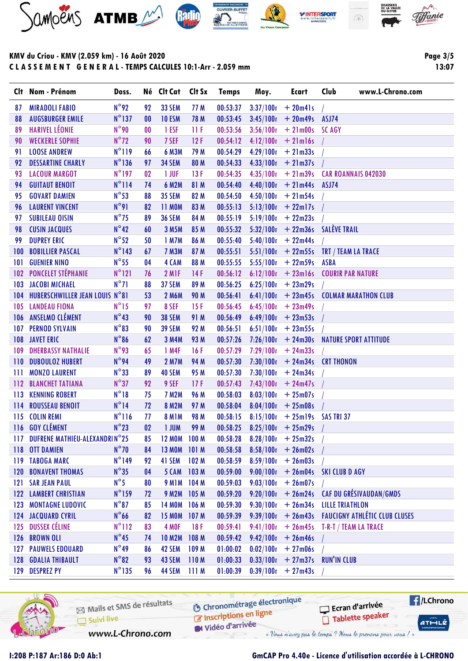







**Page 3/5**  $13:07$ 

|                  | Clt Nom - Prénom                  | Doss.           |                 | Né Clt Cat Clt Sx |                  | <b>Temps</b> | Moy.                  | <b>Ecart</b>               | Club<br>www.L-Chrono.com                         |
|------------------|-----------------------------------|-----------------|-----------------|-------------------|------------------|--------------|-----------------------|----------------------------|--------------------------------------------------|
| 87               | <b>MIRADOLI FABIO</b>             | $N^{\circ}92$   | 92              | <b>33 SEM</b>     | 77 M             | 00:53:37     |                       | $3:37/100r + 20m41s$       |                                                  |
| 88               | <b>AUGSBURGER EMILE</b>           | $N^{\circ}$ 137 | 00              | <b>10 ESM</b>     | 78 M             | 00:53:45     | 3:45/100r             | $+20m49s$                  | ASJ74                                            |
| 89               | <b>HARIVEL LÉONIE</b>             | $N^{\circ}$ 90  | $\bf{00}$       | 1 ESF             | 11F              | 00:53:56     | 3:56/100r             | $+21m00s$ SCAGY            |                                                  |
| 90               | <b>WECKERLE SOPHIE</b>            | $N^{\circ}72$   | 90              | 7 SEF             | 12F              | 00:54:12     | 4:12/100r             | $+21$ m $16s$              |                                                  |
| 91               | <b>LOOSE ANDREW</b>               | $N^{\circ}119$  | 66              | 6 M3M             | 79 M             | 00:54:29     | 4:29/100r             | $+21m33s$                  |                                                  |
| 92               | <b>DESSARTINE CHARLY</b>          | $N^{\circ}$ 136 | 97              | <b>34 SEM</b>     | 80 M             | 00:54:33     | 4:33/100r             | $+21m37s$                  |                                                  |
| 93               | <b>LACOUR MARGOT</b>              | $N^{\circ}$ 197 | 02 <sub>2</sub> | 1 JUF             | 13F              | 00:54:35     | 4:35/100r             | $+21m39s$                  | <b>CAR ROANNAIS 042030</b>                       |
| 94               | <b>GUITAUT BENOIT</b>             | $N^{\circ}$ 114 | 74              | <b>6 M2M</b>      | 81 M             | 00:54:40     |                       | $4:40/100r + 21m44s$ ASJ74 |                                                  |
| 95               | <b>GOVART DAMIEN</b>              | $N^{\circ}53$   | 88              | <b>35 SEM</b>     | 82 M             | 00:54:50     |                       | $4:50/100r + 21m54s$       |                                                  |
| 96               | <b>LAURENT VINCENT</b>            | $N^{\circ}91$   | 82              | <b>11 MOM</b>     | 83 M             | 00:55:13     | 5:13/100r             | $+22$ ml7s                 |                                                  |
| 97               | <b>SUBILEAU OISIN</b>             | $N^{\circ}$ 75  | 89              | <b>36 SEM</b>     | 84 M             | 00:55:19     | 5.19/100r             | $+22m23s$                  |                                                  |
| 98               | <b>CUSIN JACQUES</b>              | $N^{\circ}42$   | 60              | 3 M5M             | 85 M             | 00:55:32     | 5:32/100r             |                            | + 22m36s SALÈVE TRAIL                            |
| 99               | <b>DUPREY ERIC</b>                | $N^{\circ}52$   | 50              | 1 M7M             | 86 M             | 00:55:40     | 5:40/100r             | $+22m44s$                  |                                                  |
| 100              | <b>BOBILLIER PASCAL</b>           | $N^{\circ}$ 143 | 67              | <b>7 M3M</b>      | 87 M             | 00:55:51     |                       |                            | $5:51/100r$ + 22m55s TRT / TEAM LA TRACE         |
| 101              | <b>GUENIER NINO</b>               | $N^{\circ}$ 55  | 04              | 4 CAM             | 88 M             | 00:55:55     |                       | $5:55/100r + 22m59s$       | ASBA                                             |
| 102 <sub>2</sub> | <b>PONCELET STÉPHANIE</b>         | $N^{\circ}121$  | 76              | 2 M <sub>IF</sub> | 14F              | 00:56:12     | 6:12/100r             |                            | +23m16s COURIR PAR NATURE                        |
| 103              | <b>JACOBI MICHAEL</b>             | $N^{\circ}71$   | 88              | 37 SEM            | 89 M             | 00:56:25     |                       | $6:25/100r$ + 23m29s       |                                                  |
| 104              | HUBERSCHWILLER JEAN LOUIS N°81    |                 | 53              | <b>2 M6M</b>      | <b>90 M</b>      | 00:56:41     | 6:41/100r             |                            | + 23m45s    COLMAR MARATHON CLUB                 |
| 105              | <b>LANDEAU FIONA</b>              | $N^{\circ}15$   | 97              | 8 SEF             | 15F              | 00:56:45     |                       | $6:45/100r$ + 23m49s       |                                                  |
|                  | 106 ANSELMO CLÉMENT               | $N^{\circ}43$   | 90              | <b>38 SEM</b>     | 91 M             | 00:56:49     |                       | $6:49/100r + 23m53s$       |                                                  |
| 107              | <b>PERNOD SYLVAIN</b>             | $N^{\circ}83$   | 90              | <b>39 SEM</b>     | 92 M             | 00:56:51     | 6:51/100n             | $+23m55s$                  |                                                  |
| 108              | <b>JAVET ERIC</b>                 | $N^{\circ}86$   | 62              | <b>3 M4M</b>      | 93 M             | 00:57:26     | 7:26/100 <sub>n</sub> |                            | + 24m30s NATURE SPORT ATTITUDE                   |
| 109              | <b>DHERBASSY NATHALIE</b>         | $N^{\circ}$ 93  | 65              | 1 M4F             | 16F              | 00:57:29     |                       | $7:29/100r + 24m33s$       |                                                  |
| 110              | <b>DUBOULOZ HUBERT</b>            | $N^{\circ}$ 94  | 49              | <b>2 M7M</b>      | 94 M             | 00:57:30     | 7:30/100n             | $+ 24m34s$                 | <b>CRT THONON</b>                                |
| Ш                | <b>MONZO LAURENT</b>              | $N^{\circ}33$   | 89              | <b>40 SEM</b>     | 95 M             | 00:57:30     | 7:30/100r             | $+24m34s$                  |                                                  |
| 112              | <b>BLANCHET TATIANA</b>           | $N^{\circ}37$   | 92              | 9 SEF             | 17F              | 00:57:43     |                       | $7:43/100r + 24m47s$       |                                                  |
| 113              | <b>KENNING ROBERT</b>             | $N^{\circ}18$   | 75              | <b>7 M2M</b>      | 96 M             | 00:58:03     | 8:03/100r             | $+25m07s$                  |                                                  |
| 114              | <b>ROUSSEAU BENOIT</b>            | $N^{\circ}14$   | 72              | <b>8 M2M</b>      | 97 M             | 00:58:04     | 8:04/100r             | $+25m08s$                  |                                                  |
| 115              | <b>COLIN REMI</b>                 | $N^{\circ}116$  | 77              | <b>8 M1M</b>      | <b>98 M</b>      | 00:58:15     | 8.15/100r             | $+25$ m19s SAS TRI 37      |                                                  |
|                  | 116 GOY CLÉMENT                   | $N^{\circ}23$   | 02              | <b>I JUM</b>      | 99 M             | 00:58:25     | 8:25/100r             | $+25m29s$                  |                                                  |
|                  | 117 DUFRENE MATHIEU-ALEXANDRIN°25 |                 | 85              | 12 MOM 100 M      |                  | 00:58:28     |                       | $8:28/100r + 25m32s$       |                                                  |
|                  | 118 OTT DAMIEN                    | $N^{\circ}$ 70  | 84              | <b>13 MOM</b>     | 101M             | 00:58:58     | $8:58/100r + 26m02s$  |                            |                                                  |
|                  | 119 TABOGA MARC                   | $N^{\circ}$ 149 | 92              | 41 SEM            | 102 <sub>M</sub> | 00:58:59     |                       | $8:59/100r + 26m03s$       |                                                  |
|                  | <b>120 BONAVENT THOMAS</b>        | $N^{\circ}35$   | 04              | 5 CAM             | 103M             | 00:59:00     |                       |                            | $9:00/100r$ + 26m04s SKI CLUB D AGY              |
|                  | <b>121 SAR JEAN PAUL</b>          | $N^{\circ}5$    | 80              | <b>9 M1M</b>      | 104 M            | 00:59:03     |                       | $9:03/100r + 26m07s$       |                                                  |
|                  | <b>122 LAMBERT CHRISTIAN</b>      | $N^{\circ}159$  | 72              | 9 M2M 105 M       |                  | 00:59:20     |                       |                            | $9:20/100r$ + 26m24s CAF DU GRÉSIVAUDAN/GMDS     |
|                  | <b>123 MONTAGNE LUDOVIC</b>       | $N^{\circ}87$   | 85              | <b>14 MOM</b>     | 106 <sub>M</sub> | 00:59:30     |                       |                            | $9.30/100r$ + 26m34s LILLE TRIATHLON             |
|                  | <b>124 JACQUARD CYRIL</b>         | $N^{\circ}$ 66  | 82              | <b>15 MOM</b>     | 107 <sub>M</sub> | 00:59:39     |                       |                            | 9:39/100n + 26m43s FAUCIGNY ATHLÉTIC CLUB CLUSES |
|                  | 125 DUSSEX CÉLINE                 | $N^{\circ}112$  | 83              | 4 MOF             | 18 F             | 00:59:41     |                       |                            | $9:41/100r$ + 26m45s T-R-T / TEAM LA TRACE       |
|                  | 126 BROWN OLI                     | $N^{\circ}45$   | 74              | <b>10 M2M</b>     | 108 M            | 00:59:42     |                       | $9:42/100r + 26m46s$       |                                                  |
|                  | <b>127 PAUWELS EDOUARD</b>        | $N^{\circ}49$   | 86              | 42 SEM            | 109 <sub>M</sub> | 01:00:02     |                       | $0.02/100r + 27m06s$       |                                                  |
|                  | <b>128 GDALIA THIBAULT</b>        | $N^{\circ}82$   | 93              | 43 SEM            | 110M             | 01:00:33     |                       |                            | $0.33/100r$ + 27m37s RUN'IN CLUB                 |
|                  | 129 DESPREZ PY                    | $N^{\circ}$ 135 | 96              | <b>44 SEM</b>     | 111M             | 01:00:39     |                       | $0.39/100r + 27m43s$       |                                                  |
|                  |                                   |                 |                 |                   |                  |              |                       |                            |                                                  |



Mails et SMS de résultats Suivi live www.L-Chrono.com

**6** Chronométrage électronique

Vidéo d'arrivée

Ecran d'arrivée Inscriptions en ligne Tablette speaker

« Vous n'avez pas le temps ? Nous le prenons pour vous / »

I:208 P:187 Ar:186 D:0 Ab:1

## GmCAP Pro 4.40e - Licence d'utilisation accordée à L-CHRONO

**E**/LChrono

 $ATHLZ$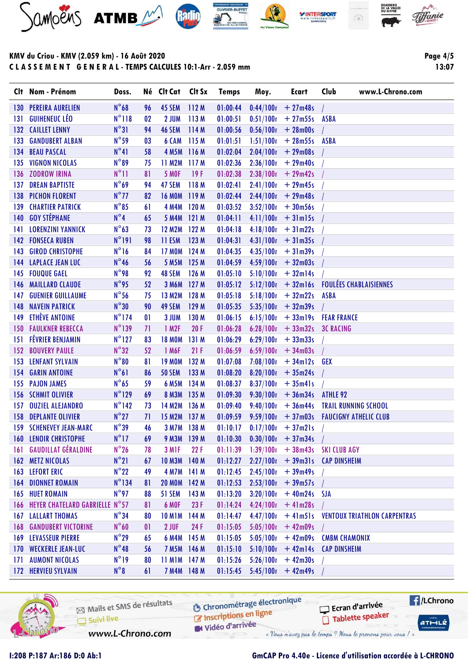







Page 4/5 13:07

|      | Clt Nom - Prénom                   | Doss.           |              | Né Clt Cat Clt Sx |                  | <b>Temps</b> | Moy.                 | Ecart                    | www.L-Chrono.com<br>Club                          |
|------|------------------------------------|-----------------|--------------|-------------------|------------------|--------------|----------------------|--------------------------|---------------------------------------------------|
| 130. | <b>PEREIRA AURELIEN</b>            | $N^{\circ}68$   | 96           | 45 SEM            | 112M             | 01:00:44     | $0.44/100$ r         | $+27m48s$                |                                                   |
| 131  | <b>GUIHENEUC LÉO</b>               | $N^{\circ}118$  | 02           | 2 JUM             | 113M             | 01:00:51     | 0.51/100r            | $+27m55s$                | <b>ASBA</b>                                       |
|      | 132 CAILLET LENNY                  | $N^{\circ}31$   | 94           | 46 SEM            | 114 M            | 01:00:56     |                      | $0.56/100r + 28m00s$     |                                                   |
| 133  | <b>GANDUBERT ALBAN</b>             | $N^{\circ}$ 59  | 03           | 6 CAM             | 115 M            | 01:01:51     | 1:51/100r            | $+28m55s$                | <b>ASBA</b>                                       |
| 134  | <b>BEAU PASCAL</b>                 | $N^{\circ}41$   | 58           | <b>4 M5M</b>      | 116M             | 01:02:04     | 2:04/100r            | $+29m08s$                |                                                   |
| 135  | <b>VIGNON NICOLAS</b>              | $N^{\circ}89$   | 75           | <b>11 M2M</b>     | 117 M            | 01:02:36     | 2:36/100r            | $+29m40s$                |                                                   |
| 136  | <b>ZODROW IRINA</b>                | $N^{\circ}11$   | 81           | <b>5 MOF</b>      | 19F              | 01:02:38     | 2:38/100r            | $+29m42s$                |                                                   |
| 137  | <b>DREAN BAPTISTE</b>              | $N^{\circ}69$   | 94           | 47 SEM            | 118M             | 01:02:41     | 2:41/100r            | $+ 29m45s$               |                                                   |
| 138  | <b>PICHON FLORENT</b>              | $N^{\circ}$ 77  | 82           | <b>16 MOM</b>     | 119M             | 01:02:44     |                      | $2:44/100r + 29m48s$     |                                                   |
| 139  | <b>CHARTIER PATRICK</b>            | $N^{\circ}85$   | 61           | 4 M4M             | 120 <sub>M</sub> | 01:03:52     | 3:52/100r            | $+30m56s$                |                                                   |
| 140  | <b>GOY STÉPHANE</b>                | $N^{\circ}4$    | 65           | <b>5 M4M</b>      | 121M             | 01:04:11     | 4:11/100r            | $+31$ m $15s$            |                                                   |
| 141  | <b>LORENZINI YANNICK</b>           | $N^{\circ}63$   | 73           | <b>12 M2M</b>     | 122 M            | 01:04:18     |                      | $4:18/100r + 31m22s$     |                                                   |
|      | <b>142 FONSECA RUBEN</b>           | $N^{\circ}$ 191 | 98           | <b>11 ESM</b>     | 123 M            | 01:04:31     |                      | $4:31/100r + 31m35s$     |                                                   |
| 143  | <b>GIROD CHRISTOPHE</b>            | $N^{\circ}16$   | 84           | <b>17 MOM</b>     | 124M             | 01:04:35     | 4:35/100r            | $+31m39s$                |                                                   |
|      | <b>144 LAPLACE JEAN LUC</b>        | $N^{\circ}46$   | 56           | <b>5 M5M</b>      | 125M             | 01:04:59     |                      | $4:59/100r + 32m03s$     |                                                   |
| 145  | <b>FOUQUE GAEL</b>                 | $N^{\circ}$ 98  | 92           | 48 SEM            | 126 M            | 01:05:10     | 5:10/100r            | $+32$ ml4s               |                                                   |
| 146  | <b>MAILLARD CLAUDE</b>             | $N^{\circ}$ 95  | 52           | <b>3 M6M</b>      | 127M             | 01:05:12     |                      | $5:12/100r$ + 32m16s     | <b>FOULÉES CHABLAISIENNES</b>                     |
| 147  | <b>GUENIER GUILLAUME</b>           | $N^{\circ}$ 56  | 75           | <b>13 M2M</b>     | 128 M            | 01:05:18     |                      | $5:18/100r$ + 32m22s     | <b>ASBA</b>                                       |
| 148  | <b>NAVEIN PATRICK</b>              | $N^{\circ}30$   | 90           | 49 SEM            | 129 M            | 01:05:35     |                      | $5:35/100r + 32m39s$     |                                                   |
| 149  | ETHÈVE ANTOINE                     | $N^{\circ}$ 174 | $\mathbf{0}$ | 3 JUM             | 130 M            | 01:06:15     |                      |                          | $6:15/100n$ + 33m19s FEAR FRANCE                  |
|      | <b>150 FAULKNER REBECCA</b>        | $N^{\circ}$ 139 | 71           | 1 M2F             | 20F              | 01:06:28     |                      | $6:28/100r$ + 33m32s     | <b>3C RACING</b>                                  |
| 151  | <b>FÉVRIER BENJAMIN</b>            | $N^{\circ}$ 127 | 83           | <b>18 MOM</b>     | 131M             | 01:06:29     | 6:29/100r            | $+33m33s$                |                                                   |
| 152  | <b>BOUVERY PAULE</b>               | $N^{\circ}32$   | 52           | 1 M6F             | 21F              | 01:06:59     | 6:59/100r            | $+34m03s$                |                                                   |
| 153  | <b>LENFANT SYLVAIN</b>             | $N^{\circ}80$   | 81           | <b>19 MOM</b>     | 132 M            | 01:07:08     | 7:08/100r            | $+34$ ml2s GEX           |                                                   |
| 154  | <b>GARIN ANTOINE</b>               | $N^{\circ}61$   | 86           | <b>50 SEM</b>     | 133 M            | 01:08:20     | 8:20/100r            | $+35m24s$                |                                                   |
| 155  | <b>PAJON JAMES</b>                 | $N^{\circ}$ 65  | 59           | <b>6 M5M</b>      | 134 M            | 01:08:37     | 8:37/100r            | $+35m41s$                |                                                   |
| 156  | <b>SCHMIT OLIVIER</b>              | $N^{\circ}129$  | 69           | <b>8 M3M</b>      | 135 M            | 01:09:30     | 9:30/100r            | $+36m34s$                | ATHLE <sub>92</sub>                               |
| 157  | <b>OUZIEL ALEJANDRO</b>            | $N^{\circ}$ 142 | 73           | 14 M2M            | 136 M            | 01:09:40     | 9:40/100r            | $+36m44s$                | <b>TRAIL RUNNING SCHOOL</b>                       |
| 158  | <b>DEPLANTE OLIVIER</b>            | $N^{\circ}27$   | 71           | <b>15 M2M</b>     | 137M             | 01:09:59     |                      |                          | $9.59/100r$ + 37m03s FAUCIGNY ATHELIC CLUB        |
|      | <b>159 SCHENEVEY JEAN-MARC</b>     | $N^{\circ}39$   | 46           | <b>3 M7M</b>      | 138M             | 01:10:17     |                      | $0.17/100n + 37m21s$     |                                                   |
|      | <b>160 LENOIR CHRISTOPHE</b>       | $N^{\circ}17$   | 69           | <b>9 M3M</b>      | 139M             | 01:10:30     | $0.30/100r$ + 37m34s |                          |                                                   |
|      | <b>161 GAUDILLAT GÉRALDINE</b>     | $N^{\circ}26$   | 78           | 3 M <sub>IF</sub> | 22F              | 01:11:39     |                      |                          | $1:39/100r$ + 38m43s SKI CLUB AGY                 |
|      | 162 METZ NICOLAS                   | $N^{\circ}21$   | 67           | <b>10 M3M</b>     | 140 M            | 01:12:27     |                      | $2:27/100r + 39m31s$     | <b>CAP DINSHEIM</b>                               |
|      | <b>163 LEFORT ERIC</b>             | $N^{\circ}22$   | 49           | <b>4 M7M</b>      | 141 M            | 01:12:45     | $2.45/100r + 39m49s$ |                          |                                                   |
|      | <b>164 DIONNET ROMAIN</b>          | $N^{\circ}$ 134 | 81           | <b>20 MOM</b>     | 142M             | 01:12:53     | $2.53/100r + 39m57s$ |                          |                                                   |
|      | <b>165 HUET ROMAIN</b>             | $N^{\circ}$ 97  | 88           | 51 SEM            | 143 M            | 01:13:20     |                      | $3:20/100r + 40m24s$ SJA |                                                   |
|      | 166 HEYER CHATELARD GABRIELLE N°57 |                 | 81           | 6 MOF             | 23F              | 01:14:24     |                      | $4.24/100r + 41m28s$     |                                                   |
|      | <b>167 LALLART THOMAS</b>          | $N^{\circ}34$   | 80           | <b>10 M1M</b>     | 144 M            | 01:14:47     |                      |                          | $4.47/100r$ + 41m51s VENTOUX TRIATHLON CARPENTRAS |
|      | <b>168 GANDUBERT VICTORINE</b>     | $N^{\circ}60$   | 01           | 2 JUF             | 24 F             | 01:15:05     |                      | $5:05/100r + 42m09s$     |                                                   |
|      | <b>169 LEVASSEUR PIERRE</b>        | $N^{\circ}29$   | 65           | 6 M4M             | 145 M            | 01:15:05     | 5:05/100r            | $+42m09s$                | <b>CMBM CHAMONIX</b>                              |
|      | 170 WECKERLE JEAN-LUC              | $N^{\circ}48$   | 56           | 7 M5M 146 M       |                  | 01:15:10     | $5.10/100r + 42m14s$ |                          | <b>CAP DINSHEIM</b>                               |
| 171  | <b>AUMONT NICOLAS</b>              | $N^{\circ}19$   | 80           | 11 M1M 147 M      |                  | 01:15:26     |                      | $5:26/100r + 42m30s$     |                                                   |
|      | <b>172 HERVIEU SYLVAIN</b>         | $N^{\circ}8$    | 61           | 7 M4M 148 M       |                  | 01:15:45     |                      | $5:45/100r + 42m49s$     |                                                   |



Mails et SMS de résultats Inscriptions en ligne Suivi live

**6** Chronométrage électronique

Vidéo d'arrivée

www.L-Chrono.com

Ecran d'arrivée

« Vous n'avez pas le temps ? Nous le prenons pour vous / »

Tablette speaker

**E**/LChrono

 $ATHLLE$